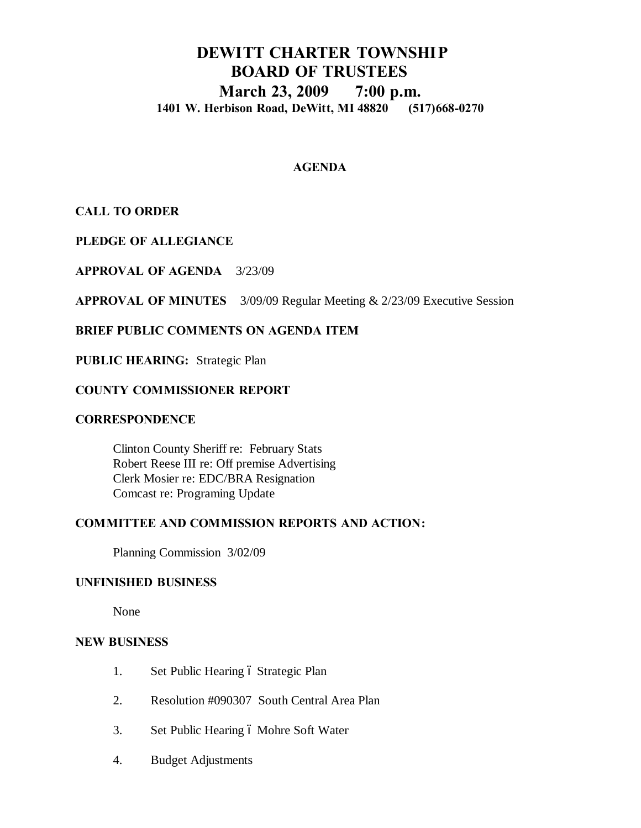# **DEWITT CHARTER TOWNSHIP BOARD OF TRUSTEES March 23, 2009 7:00 p.m. 1401 W. Herbison Road, DeWitt, MI 48820 (517)668-0270**

## **AGENDA**

**CALL TO ORDER**

**PLEDGE OF ALLEGIANCE**

**APPROVAL OF AGENDA** 3/23/09

**APPROVAL OF MINUTES** 3/09/09 Regular Meeting & 2/23/09 Executive Session

## **BRIEF PUBLIC COMMENTS ON AGENDA ITEM**

**PUBLIC HEARING:** Strategic Plan

## **COUNTY COMMISSIONER REPORT**

### **CORRESPONDENCE**

Clinton County Sheriff re: February Stats Robert Reese III re: Off premise Advertising Clerk Mosier re: EDC/BRA Resignation Comcast re: Programing Update

## **COMMITTEE AND COMMISSION REPORTS AND ACTION:**

Planning Commission 3/02/09

## **UNFINISHED BUSINESS**

None

### **NEW BUSINESS**

- 1. Set Public Hearing ó Strategic Plan
- 2. Resolution #090307 South Central Area Plan
- 3. Set Public Hearing 6 Mohre Soft Water
- 4. Budget Adjustments